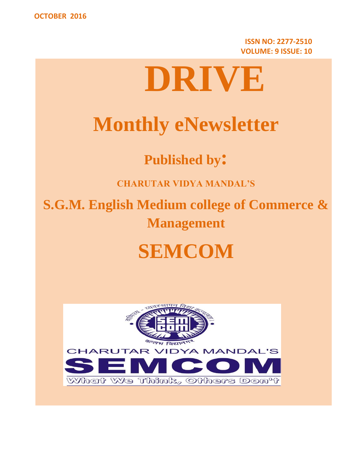**ISSN NO: 2277-2510 VOLUME: 9 ISSUE: 10**



# **Monthly eNewsletter**

**Published by:**

**CHARUTAR VIDYA MANDAL'S**

**S.G.M. English Medium college of Commerce & Management**

## **SEMCOM**

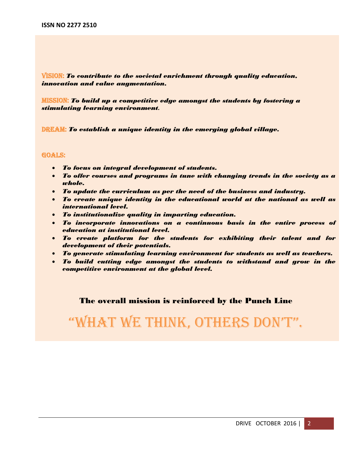VISION: *To contribute to the societal enrichment through quality education, innovation and value augmentation.*

MISSION: *To build up a competitive edge amongst the students by fostering a stimulating learning environment.*

DREAM: *To establish a unique identity in the emerging global village.*

#### GOALS:

- *To focus on integral development of students.*
- *To offer courses and programs in tune with changing trends in the society as a whole.*
- *To update the curriculum as per the need of the business and industry.*
- *To create unique identity in the educational world at the national as well as international level.*
- *To institutionalize quality in imparting education.*
- *To incorporate innovations on a continuous basis in the entire process of education at institutional level.*
- *To create platform for the students for exhibiting their talent and for development of their potentials.*
- *To generate stimulating learning environment for students as well as teachers.*
- *To build cutting edge amongst the students to withstand and grow in the competitive environment at the global level.*

#### The overall mission is reinforced by the Punch Line

## "What We think, Others DOn't".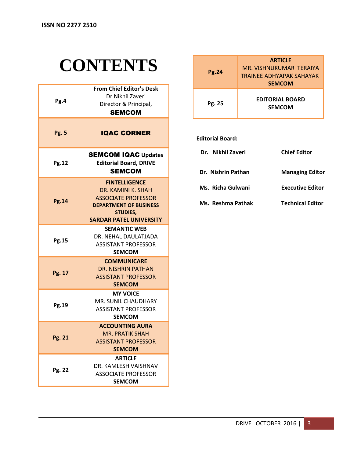## **CONTENTS**

| Pg.4         | From Chief Editor's Desk<br>Dr Nikhil Zaveri<br>Director & Principal,<br><b>SEMCOM</b>                                                                         |
|--------------|----------------------------------------------------------------------------------------------------------------------------------------------------------------|
| <b>Pg. 5</b> | <b>IQAC CORNER</b>                                                                                                                                             |
| <b>Pg.12</b> | <b>SEMCOM IQAC Updates</b><br><b>Editorial Board, DRIVE</b><br><b>SEMCOM</b>                                                                                   |
| <b>Pg.14</b> | <b>FINTELLIGENCE</b><br>DR. KAMINI K. SHAH<br><b>ASSOCIATE PROFESSOR</b><br><b>DEPARTMENT OF BUSINESS</b><br><b>STUDIES,</b><br><b>SARDAR PATEL UNIVERSITY</b> |
| Pg.15        | <b>SEMANTIC WEB</b><br>DR. NEHAL DAULATJADA<br><b>ASSISTANT PROFESSOR</b><br><b>SEMCOM</b>                                                                     |
| Pg. 17       | <b>COMMUNICARE</b><br>DR. NISHRIN PATHAN<br><b>ASSISTANT PROFESSOR</b><br><b>SEMCOM</b>                                                                        |
| Pg.19        | <b>MY VOICE</b><br>MR. SUNIL CHAUDHARY<br><b>ASSISTANT PROFESSOR</b><br><b>SEMCOM</b>                                                                          |
| Pg. 21       | <b>ACCOUNTING AURA</b><br><b>MR. PRATIK SHAH</b><br><b>ASSISTANT PROFESSOR</b><br><b>SEMCOM</b>                                                                |
| Pg. 22       | <b>ARTICLE</b><br>DR. KAMLESH VAISHNAV<br><b>ASSOCIATE PROFESSOR</b><br><b>SEMCOM</b>                                                                          |

| <b>Pg.24</b> | <b>ARTICLE</b><br>MR. VISHNUKUMAR TERAIYA<br>TRAINEE ADHYAPAK SAHAYAK<br><b>SEMCOM</b> |
|--------------|----------------------------------------------------------------------------------------|
| Pg. 25       | <b>EDITORIAL BOARD</b><br><b>SEMCOM</b>                                                |

#### **Editorial Board:**

| Dr. Nikhil Zaveri  | <b>Chief Editor</b>    |
|--------------------|------------------------|
| Dr. Nishrin Pathan | <b>Managing Editor</b> |

- **Ms. Richa Gulwani Executive Editor**
- **Ms. Reshma Pathak Technical Editor**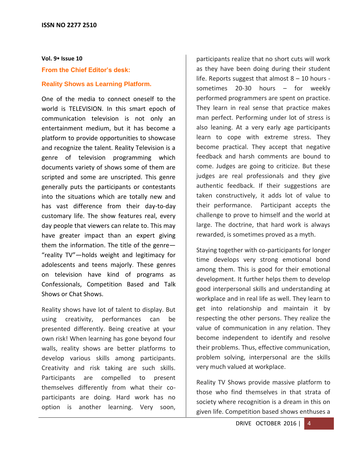## **Vol. 9 Issue 10 From the Chief Editor's desk:**

#### **Reality Shows as Learning Platform.**

One of the media to connect oneself to the world is TELEVISION. In this smart epoch of communication television is not only an entertainment medium, but it has become a platform to provide opportunities to showcase and recognize the talent. Reality Television is a genre of television programming which documents variety of shows some of them are scripted and some are unscripted. This genre generally puts the participants or contestants into the situations which are totally new and has vast difference from their day-to-day customary life. The show features real, every day people that viewers can relate to. This may have greater impact than an expert giving them the information. The title of the genre— "reality TV"—holds weight and legitimacy for adolescents and teens majorly. These genres on television have kind of programs as Confessionals, Competition Based and Talk Shows or Chat Shows.

Reality shows have lot of talent to display. But using creativity, performances can be presented differently. Being creative at your own risk! When learning has gone beyond four walls, reality shows are better platforms to develop various skills among participants. Creativity and risk taking are such skills. Participants are compelled to present themselves differently from what their coparticipants are doing. Hard work has no option is another learning. Very soon,

participants realize that no short cuts will work as they have been doing during their student life. Reports suggest that almost 8 – 10 hours sometimes 20-30 hours – for weekly performed programmers are spent on practice. They learn in real sense that practice makes man perfect. Performing under lot of stress is also leaning. At a very early age participants learn to cope with extreme stress. They become practical. They accept that negative feedback and harsh comments are bound to come. Judges are going to criticize. But these judges are real professionals and they give authentic feedback. If their suggestions are taken constructively, it adds lot of value to their performance. Participant accepts the challenge to prove to himself and the world at large. The doctrine, that hard work is always rewarded, is sometimes proved as a myth.

Staying together with co-participants for longer time develops very strong emotional bond among them. This is good for their emotional development. It further helps them to develop good interpersonal skills and understanding at workplace and in real life as well. They learn to get into relationship and maintain it by respecting the other persons. They realize the value of communication in any relation. They become independent to identify and resolve their problems. Thus, effective communication, problem solving, interpersonal are the skills very much valued at workplace.

Reality TV Shows provide massive platform to those who find themselves in that strata of society where recognition is a dream in this on given life. Competition based shows enthuses a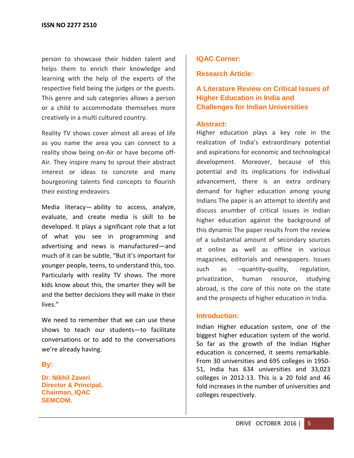person to showcase their hidden talent and helps them to enrich their knowledge and learning with the help of the experts of the respective field being the judges or the guests. This genre and sub categories allows a person or a child to accommodate themselves more creatively in a multi cultured country.

Reality TV shows cover almost all areas of life as you name the area you can connect to a reality show being on-Air or have become off-Air. They inspire many to sprout their abstract interest or ideas to concrete and many bourgeoning talents find concepts to flourish their existing endeavors.

Media literacy— ability to access, analyze, evaluate, and create media is skill to be developed. It plays a significant role that a lot of what you see in programming and advertising and news is manufactured—and much of it can be subtle, "But it's important for younger people, teens, to understand this, too. Particularly with reality TV shows. The more kids know about this, the smarter they will be and the better decisions they will make in their lives."

We need to remember that we can use these shows to teach our students—to facilitate conversations or to add to the conversations we're already having.

## **By:**

**Dr. Nikhil Zaveri Director & Principal, Chairman, IQAC SEMCOM.**

## **IQAC Corner:**

**Research Article:**

**A Literature Review on Critical Issues of Higher Education in India and Challenges for Indian Universities** 

#### **Abstract:**

Higher education plays a key role in the realization of India's extraordinary potential and aspirations for economic and technological development. Moreover, because of this potential and its implications for individual advancement, there is an extra ordinary demand for higher education among young Indians The paper is an attempt to identify and discuss anumber of critical issues in Indian higher education against the background of this dynamic The paper results from the review of a substantial amount of secondary sources at online as well as offline in various magazines, editorials and newspapers. Issues such as –quantity-quality, regulation, privatization, human resource, studying abroad, is the core of this note on the state and the prospects of higher education in India.

#### **Introduction:**

Indian Higher education system, one of the biggest higher education system of the world. So far as the growth of the Indian Higher education is concerned, it seems remarkable. From 30 universities and 695 colleges in 1950- 51, India has 634 universities and 33,023 colleges in 2012-13. This is a 20 fold and 46 fold increases in the number of universities and colleges respectively.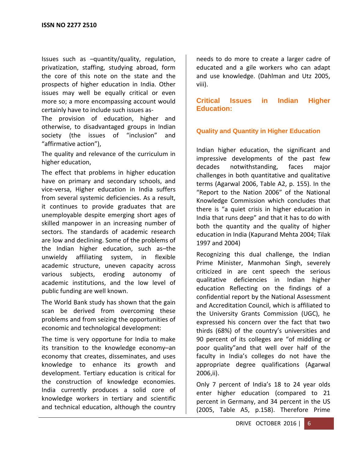Issues such as –quantity/quality, regulation, privatization, staffing, studying abroad, form the core of this note on the state and the prospects of higher education in India. Other issues may well be equally critical or even more so; a more encompassing account would certainly have to include such issues as-

The provision of education, higher and otherwise, to disadvantaged groups in Indian society (the issues of "inclusion" and "affirmative action"),

The quality and relevance of the curriculum in higher education,

The effect that problems in higher education have on primary and secondary schools, and vice-versa, Higher education in India suffers from several systemic deficiencies. As a result, it continues to provide graduates that are unemployable despite emerging short ages of skilled manpower in an increasing number of sectors. The standards of academic research are low and declining. Some of the problems of the Indian higher education, such as–the unwieldy affiliating system, in flexible academic structure, uneven capacity across various subjects, eroding autonomy of academic institutions, and the low level of public funding are well known.

The World Bank study has shown that the gain scan be derived from overcoming these problems and from seizing the opportunities of economic and technological development:

The time is very opportune for India to make its transition to the knowledge economy–an economy that creates, disseminates, and uses knowledge to enhance its growth and development. Tertiary education is critical for the construction of knowledge economies. India currently produces a solid core of knowledge workers in tertiary and scientific and technical education, although the country needs to do more to create a larger cadre of educated and a gile workers who can adapt and use knowledge. (Dahlman and Utz 2005, viii).

**Critical Issues in Indian Higher Education:** 

## **Quality and Quantity in Higher Education**

Indian higher education, the significant and impressive developments of the past few decades notwithstanding, faces major challenges in both quantitative and qualitative terms (Agarwal 2006, Table A2, p. 155). In the "Report to the Nation 2006" of the National Knowledge Commission which concludes that there is "a quiet crisis in higher education in India that runs deep" and that it has to do with both the quantity and the quality of higher education in India (Kapurand Mehta 2004; Tilak 1997 and 2004)

Recognizing this dual challenge, the Indian Prime Minister, Manmohan Singh, severely criticized in are cent speech the serious qualitative deficiencies in Indian higher education Reflecting on the findings of a confidential report by the National Assessment and Accreditation Council, which is affiliated to the University Grants Commission (UGC), he expressed his concern over the fact that two thirds (68%) of the country's universities and 90 percent of its colleges are "of middling or poor quality"and that well over half of the faculty in India's colleges do not have the appropriate degree qualifications (Agarwal 2006,ii).

Only 7 percent of India's 18 to 24 year olds enter higher education (compared to 21 percent in Germany, and 34 percent in the US (2005, Table A5, p.158). Therefore Prime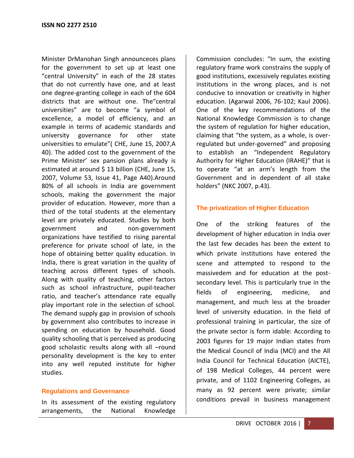Minister DrManohan Singh announceces plans for the government to set up at least one "central University" in each of the 28 states that do not currently have one, and at least one degree-granting college in each of the 604 districts that are without one. The"central universities" are to become "a symbol of excellence, a model of efficiency, and an example in terms of academic standards and university governance for other state universities to emulate"( CHE, June 15, 2007,A 40). The added cost to the government of the Prime Minister' sex pansion plans already is estimated at around \$ 13 billion (CHE, June 15, 2007, Volume 53, Issue 41, Page A40).Around 80% of all schools in India are government schools, making the government the major provider of education. However, more than a third of the total students at the elementary level are privately educated. Studies by both government and non-government organizations have testified to rising parental preference for private school of late, in the hope of obtaining better quality education. In India, there is great variation in the quality of teaching across different types of schools. Along with quality of teaching, other factors such as school infrastructure, pupil-teacher ratio, and teacher's attendance rate equally play important role in the selection of school. The demand supply gap in provision of schools by government also contributes to increase in spending on education by household. Good quality schooling that is perceived as producing good scholastic results along with all –round personality development is the key to enter into any well reputed institute for higher studies.

#### **Regulations and Governance**

In its assessment of the existing regulatory arrangements, the National Knowledge

Commission concludes: "In sum, the existing regulatory frame work constrains the supply of good institutions, excessively regulates existing institutions in the wrong places, and is not conducive to innovation or creativity in higher education. (Agarwal 2006, 76-102; Kaul 2006). One of the key recommendations of the National Knowledge Commission is to change the system of regulation for higher education, claiming that "the system, as a whole, is overregulated but under-governed" and proposing to establish an "Independent Regulatory Authority for Higher Education (IRAHE)" that is to operate "at an arm's length from the Government and in dependent of all stake holders" (NKC 2007, p.43).

## **The privatization of Higher Education**

One of the striking features of the development of higher education in India over the last few decades has been the extent to which private institutions have entered the scene and attempted to respond to the massivedem and for education at the postsecondary level. This is particularly true in the fields of engineering, medicine, and management, and much less at the broader level of university education. In the field of professional training in particular, the size of the private sector is form idable: According to 2003 figures for 19 major Indian states from the Medical Council of India (MCI) and the All India Council for Technical Education (AICTE), of 198 Medical Colleges, 44 percent were private, and of 1102 Engineering Colleges, as many as 92 percent were private; similar conditions prevail in business management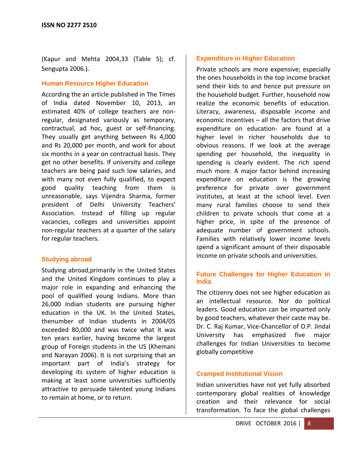(Kapur and Mehta 2004,33 (Table 5); cf. Sengupta 2006.).

#### **Human Resource Higher Education**

According the an article published in The Times of India dated November 10, 2013, an estimated 40% of college teachers are nonregular, designated variously as temporary, contractual, ad hoc, guest or self-financing. They usually get anything between Rs 4,000 and Rs 20,000 per month, and work for about six months in a year on contractual basis. They get no other benefits. If university and college teachers are being paid such low salaries, and with many not even fully qualified, to expect good quality teaching from them is unreasonable, says Vijendra Sharma, former president of Delhi University Teachers' Association. Instead of filling up regular vacancies, colleges and universities appoint non-regular teachers at a quarter of the salary for regular teachers.

#### **Studying abroad**

Studying abroad,primarily in the United States and the United Kingdom continues to play a major role in expanding and enhancing the pool of qualified young Indians. More than 26,000 Indian students are pursuing higher education in the UK. In the United States, thenumber of Indian students in 2004/05 exceeded 80,000 and was twice what it was ten years earlier, having become the largest group of Foreign students in the US (Khemani and Narayan 2006). It is not surprising that an important part of India's strategy for developing its system of higher education is making at least some universities sufficiently attractive to persuade talented young Indians to remain at home, or to return.

## **Expenditure in Higher Education**

Private schools are more expensive; especially the ones households in the top income bracket send their kids to and hence put pressure on the household budget. Further, household now realize the economic benefits of education. Literacy, awareness, disposable income and economic incentives – all the factors that drive expenditure on education- are found at a higher level in richer households due to obvious reasons. If we look at the average spending per household, the inequality in spending is clearly evident. The rich spend much more. A major factor behind increasing expenditure on education is the growing preference for private over government institutes, at least at the school level. Even many rural families choose to send their children to private schools that come at a higher price, in spite of the presence of adequate number of government schools. Families with relatively lower income levels spend a significant amount of their disposable income on private schools and universities.

#### **Future Challenges for Higher Education in India**

The citizenry does not see higher education as an intellectual resource. Nor do political leaders. Good education can be imparted only by good teachers, whatever their caste may be. Dr. C. Raj Kumar, Vice-Chancellor of O.P. Jindal University has emphasized five major challenges for Indian Universities to become globally competitive

#### **Cramped Institutional Vision**

Indian universities have not yet fully absorbed contemporary global realities of knowledge creation and their relevance for social transformation. To face the global challenges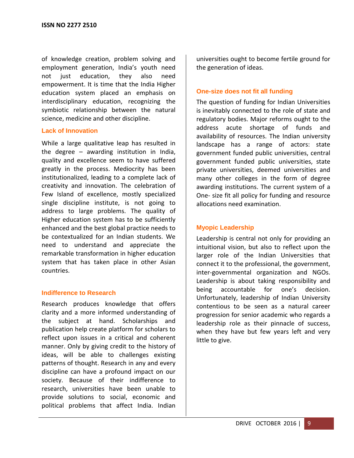of knowledge creation, problem solving and employment generation, India's youth need not just education, they also need empowerment. It is time that the India Higher education system placed an emphasis on interdisciplinary education, recognizing the symbiotic relationship between the natural science, medicine and other discipline.

#### **Lack of Innovation**

While a large qualitative leap has resulted in the degree – awarding institution in India, quality and excellence seem to have suffered greatly in the process. Mediocrity has been institutionalized, leading to a complete lack of creativity and innovation. The celebration of Few Island of excellence, mostly specialized single discipline institute, is not going to address to large problems. The quality of Higher education system has to be sufficiently enhanced and the best global practice needs to be contextualized for an Indian students. We need to understand and appreciate the remarkable transformation in higher education system that has taken place in other Asian countries.

#### **Indifference to Research**

Research produces knowledge that offers clarity and a more informed understanding of the subject at hand. Scholarships and publication help create platform for scholars to reflect upon issues in a critical and coherent manner. Only by giving credit to the history of ideas, will be able to challenges existing patterns of thought. Research in any and every discipline can have a profound impact on our society. Because of their indifference to research, universities have been unable to provide solutions to social, economic and political problems that affect India. Indian universities ought to become fertile ground for the generation of ideas.

#### **One-size does not fit all funding**

The question of funding for Indian Universities is inevitably connected to the role of state and regulatory bodies. Major reforms ought to the address acute shortage of funds and availability of resources. The Indian university landscape has a range of actors: state government funded public universities, central government funded public universities, state private universities, deemed universities and many other colleges in the form of degree awarding institutions. The current system of a One- size fit all policy for funding and resource allocations need examination.

#### **Myopic Leadership**

Leadership is central not only for providing an intuitional vision, but also to reflect upon the larger role of the Indian Universities that connect it to the professional, the government, inter-governmental organization and NGOs. Leadership is about taking responsibility and being accountable for one's decision. Unfortunately, leadership of Indian University contentious to be seen as a natural career progression for senior academic who regards a leadership role as their pinnacle of success, when they have but few years left and very little to give.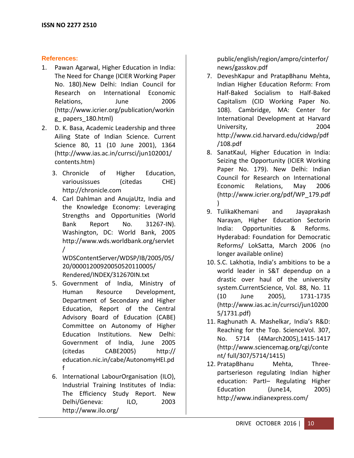## **References:**

- 1. Pawan Agarwal, Higher Education in India: The Need for Change (ICIER Working Paper No. 180).New Delhi: Indian Council for Research on International Economic Relations, June 2006 (http://www.icrier.org/publication/workin g\_ papers\_180.html)
- 2. D. K. Basa, Academic Leadership and three Ailing State of Indian Science. Current Science 80, 11 (10 June 2001), 1364 (http://www.ias.ac.in/currsci/jun102001/ contents.htm)
	- 3. Chronicle of Higher Education, variousissues (citedas CHE) http://chronicle.com
	- 4. Carl Dahlman and AnujaUtz, India and the Knowledge Economy: Leveraging Strengths and Opportunities (World Bank Report No. 31267-IN). Washington, DC: World Bank, 2005 http://www.wds.worldbank.org/servlet /

WDSContentServer/WDSP/IB/2005/05/ 20/00001200920050520110005/ Rendered/INDEX/312670IN.txt

- 5. Government of India, Ministry of Human Resource Development, Department of Secondary and Higher Education, Report of the Central Advisory Board of Education (CABE) Committee on Autonomy of Higher Education Institutions. New Delhi: Government of India, June 2005 (citedas CABE2005) http:// education.nic.in/cabe/AutonomyHEI.pd f
- 6. International LabourOrganisation (ILO), Industrial Training Institutes of India: The Efficiency Study Report. New Delhi/Geneva: ILO, 2003 http://www.ilo.org/

public/english/region/ampro/cinterfor/ news/gasskov.pdf

- 7. DeveshKapur and PratapBhanu Mehta, Indian Higher Education Reform: From Half-Baked Socialism to Half-Baked Capitalism (CID Working Paper No. 108). Cambridge, MA: Center for International Development at Harvard University, 2004 http://www.cid.harvard.edu/cidwp/pdf /108.pdf
- 8. SanatKaul, Higher Education in India: Seizing the Opportunity (ICIER Working Paper No. 179). New Delhi: Indian Council for Research on International Economic Relations, May 2006 (http://www.icrier.org/pdf/WP\_179.pdf )
- 9. TulikaKhemani and Jayaprakash Narayan, Higher Education Sectorin India: Opportunities & Reforms. Hyderabad: Foundation for Democratic Reforms/ LokSatta, March 2006 (no longer available online)
- 10. S.C. Lakhotia, India's ambitions to be a world leader in S&T dependup on a drastic over haul of the university system.CurrentScience, Vol. 88, No. 11 (10 June 2005), 1731-1735 (http://www.ias.ac.in/currsci/jun10200 5/1731.pdf)
- 11. Raghunath A. Mashelkar, India's R&D: Reaching for the Top. ScienceVol. 307, No. 5714 (4March2005),1415-1417 (http://www.sciencemag.org/cgi/conte nt/ full/307/5714/1415)
- 12. PratapBhanu Mehta, Threepartserieson regulating Indian higher education: PartI– Regulating Higher Education (June 14, 2005) http://www.indianexpress.com/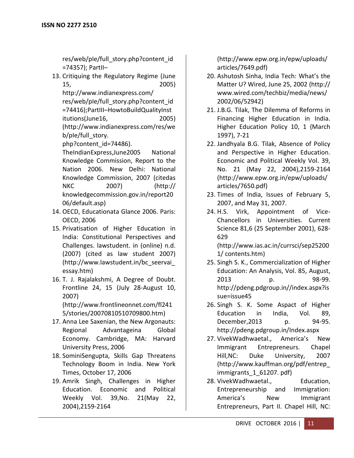res/web/pIe/full\_story.php?content\_id =74357); PartII–

13. Critiquing the Regulatory Regime (June 15, 2005)

http://www.indianexpress.com/ res/web/pIe/full\_story.php?content\_id =74416);PartIII–HowtoBuildQualityInst itutions(June16, 2005) (http://www.indianexpress.com/res/we b/ple/full\_story.

php?content\_id=74486).

TheIndianExpress,June2005 National Knowledge Commission, Report to the Nation 2006. New Delhi: National Knowledge Commission, 2007 (citedas NKC 2007) (http:// knowledgecommission.gov.in/report20 06/default.asp)

- 14. OECD, Educationata Glance 2006. Paris: OECD, 2006
- 15. Privatisation of Higher Education in India: Constitutional Perspectives and Challenges. lawstudent. in (online) n.d. (2007) (cited as law student 2007) (http://www.lawstudent.in/bc\_seervai\_ essay.htm)
- 16. T. J. Rajalakshmi, A Degree of Doubt. Frontline 24, 15 (July 28-August 10, 2007) (http://www.frontlineonnet.com/fl241

5/stories/20070810510709800.htm)

- 17. Anna Lee Saxenian, the New Argonauts: Regional Advantageina Global Economy. Cambridge, MA: Harvard University Press, 2006
- 18. SominiSengupta, Skills Gap Threatens Technology Boom in India. New York Times, October 17, 2006
- 19. Amrik Singh, Challenges in Higher Education. Economic and Political Weekly Vol. 39,No. 21(May 22, 2004),2159-2164

(http://www.epw.org.in/epw/uploads/ articles/7649.pdf)

- 20. Ashutosh Sinha, India Tech: What's the Matter U? Wired, June 25, 2002 (http:// www.wired.com/techbiz/media/news/ 2002/06/52942)
- 21. J.B.G. Tilak, The Dilemma of Reforms in Financing Higher Education in India. Higher Education Policy 10, 1 (March 1997), 7-21
- 22. Jandhyala B.G. Tilak, Absence of Policy and Perspective in Higher Education. Economic and Political Weekly Vol. 39, No. 21 (May 22, 2004),2159-2164 (http://www.epw.org.in/epw/uploads/ articles/7650.pdf)
- 23. Times of India, Issues of February 5, 2007, and May 31, 2007.
- 24. H.S. Virk, Appointment of Vice-Chancellors in Universities. Current Science 81,6 (25 September 2001), 628- 629 (http://www.ias.ac.in/currsci/sep25200

1/ contents.htm)

- 25. Singh S. K., Commercialization of Higher Education: An Analysis, Vol. 85, August, 2013 p. 98-99. http://pdeng.pdgroup.in//index.aspx?is sue=issue45
- 26. Singh S. K. Some Aspact of Higher Education in India, Vol. 89, December,2013 p. 94-95. http://pdeng.pdgroup.in/Index.aspx
- 27. VivekWadhwaetal., America's New Immigrant Entrepreneurs. Chapel Hill,NC: Duke University, 2007 (http://www.kauffman.org/pdf/entrep\_ immigrants 1 61207. pdf)
- 28. VivekWadhwaetal., Education, Entrepreneurship and Immigration: America's New Immigrant Entrepreneurs, Part II. Chapel Hill, NC: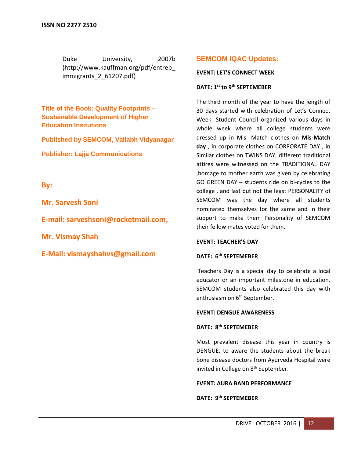Duke University, 2007b [\(http://www.kauffman.org/pdf/entrep\\_](http://www.kauffman.org/pdf/entrep_immigrants_2_61207.pdf) immigrants 2 61207.pdf)

**Title of the Book: Quality Footprints – Sustainable Development of Higher Education Insitutions**

**Published by SEMCOM, Vallabh Vidyanagar**

**Publisher: Lajja Communications**

**By:**

**Mr. Sarvesh Soni** 

**E-mail: [sarveshsoni@rocketmail.com,](mailto:sarveshsoni@rocketmail.com)**

**Mr. Vismay Shah** 

**E-Mail: [vismayshahvs@gmail.com](mailto:vismayshahvs@gmail.com)**

## **SEMCOM IQAC Updates:**

#### **EVENT: LET'S CONNECT WEEK**

#### **DATE: 1st to 9th SEPTEMEBER**

The third month of the year to have the length of 30 days started with celebration of Let's Connect Week. Student Council organized various days in whole week where all college students were dressed up in Mis- Match clothes on **Mis-Match day** , in corporate clothes on CORPORATE DAY , in Similar clothes on TWINS DAY, different traditional attires were witnessed on the TRADITIONAL DAY ,homage to mother earth was given by celebrating GO GREEN DAY – students ride on bi-cycles to the college , and last but not the least PERSONALITY of SEMCOM was the day where all students nominated themselves for the same and in their support to make them Personality of SEMCOM their fellow mates voted for them.

#### **EVENT: TEACHER'S DAY**

#### **DATE: 6th SEPTEMEBER**

Teachers Day is a special day to celebrate a local educator or an important milestone in education. SEMCOM students also celebrated this day with enthusiasm on 6<sup>th</sup> September.

#### **EVENT: DENGUE AWARENESS**

#### **DATE: 8 th SEPTEMEBER**

Most prevalent disease this year in country is DENGUE, to aware the students about the break bone disease doctors from Ayurveda Hospital were invited in College on 8<sup>th</sup> September.

#### **EVENT: AURA BAND PERFORMANCE**

**DATE: 9th SEPTEMEBER**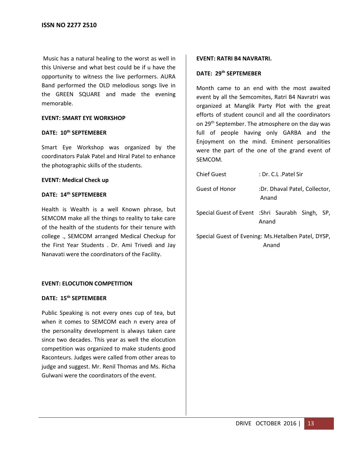Music has a natural healing to the worst as well in this Universe and what best could be if u have the opportunity to witness the live performers. AURA Band performed the OLD melodious songs live in the GREEN SQUARE and made the evening memorable.

#### **EVENT: SMART EYE WORKSHOP**

#### **DATE: 10th SEPTEMEBER**

Smart Eye Workshop was organized by the coordinators Palak Patel and Hiral Patel to enhance the photographic skills of the students.

#### **EVENT: Medical Check up**

#### **DATE: 14th SEPTEMEBER**

Health is Wealth is a well Known phrase, but SEMCOM make all the things to reality to take care of the health of the students for their tenure with college ., SEMCOM arranged Medical Checkup for the First Year Students . Dr. Ami Trivedi and Jay Nanavati were the coordinators of the Facility.

#### **EVENT: ELOCUTION COMPETITION**

## **DATE: 15th SEPTEMEBER**

Public Speaking is not every ones cup of tea, but when it comes to SEMCOM each n every area of the personality development is always taken care since two decades. This year as well the elocution competition was organized to make students good Raconteurs. Judges were called from other areas to judge and suggest. Mr. Renil Thomas and Ms. Richa Gulwani were the coordinators of the event.

#### **EVENT: RATRI B4 NAVRATRI.**

#### **DATE: 29th SEPTEMEBER**

Month came to an end with the most awaited event by all the Semcomites, Ratri B4 Navratri was organized at Manglik Party Plot with the great efforts of student council and all the coordinators on 29<sup>th</sup> September. The atmosphere on the day was full of people having only GARBA and the Enjoyment on the mind. Eminent personalities were the part of the one of the grand event of SEMCOM.

| <b>Chief Guest</b>                                | : Dr. C.L. Patel Sir                                      |  |  |  |
|---------------------------------------------------|-----------------------------------------------------------|--|--|--|
| <b>Guest of Honor</b>                             | :Dr. Dhaval Patel, Collector,<br>Anand                    |  |  |  |
|                                                   | Special Guest of Event : Shri Saurabh Singh, SP,<br>Anand |  |  |  |
| Concial Cunct of Evening: Me Hotalbon Datal, DVCD |                                                           |  |  |  |

Special Guest of Evening: Ms.Hetalben Patel, DYSP, Anand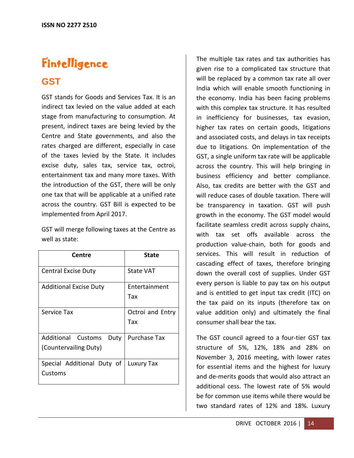## **Fintelligence**

## **GST**

GST stands for Goods and Services Tax. It is an indirect tax levied on the value added at each stage from manufacturing to consumption. At present, indirect taxes are being levied by the Centre and State governments, and also the rates charged are different, especially in case of the taxes levied by the State. It includes excise duty, sales tax, service tax, octroi, entertainment tax and many more taxes. With the introduction of the GST, there will be only one tax that will be applicable at a unified rate across the country. GST Bill is expected to be implemented from April 2017.

GST will merge following taxes at the Centre as well as state:

| Centre                                           | State                   |
|--------------------------------------------------|-------------------------|
| <b>Central Excise Duty</b>                       | State VAT               |
| <b>Additional Excise Duty</b>                    | Entertainment<br>Tax    |
| Service Tax                                      | Octroi and Entry<br>Tax |
| Additional Customs Duty<br>(Countervailing Duty) | <b>Purchase Tax</b>     |
| Special Additional Duty of<br>Customs            | Luxury Tax              |

The multiple tax rates and tax authorities has given rise to a complicated tax structure that will be replaced by a common tax rate all over India which will enable smooth functioning in the economy. India has been facing problems with this complex tax structure. It has resulted in inefficiency for businesses, tax evasion, higher tax rates on certain goods, litigations and associated costs, and delays in tax receipts due to litigations. On implementation of the GST, a single uniform tax rate will be applicable across the country. This will help bringing in business efficiency and better compliance. Also, tax credits are better with the GST and will reduce cases of double taxation. There will be transparency in taxation. GST will push growth in the economy. The GST model would facilitate seamless credit across supply chains, with tax set offs available across the production value-chain, both for goods and services. This will result in reduction of cascading effect of taxes, therefore bringing down the overall cost of supplies. Under GST every person is liable to pay tax on his output and is entitled to get input tax credit (ITC) on the tax paid on its inputs (therefore tax on value addition only) and ultimately the final consumer shall bear the tax.

The GST council agreed to a four-tier GST tax structure of 5%, 12%, 18% and 28% on November 3, 2016 meeting, with lower rates for essential items and the highest for luxury and de-merits goods that would also attract an additional cess. The lowest rate of 5% would be for common use items while there would be two standard rates of 12% and 18%. Luxury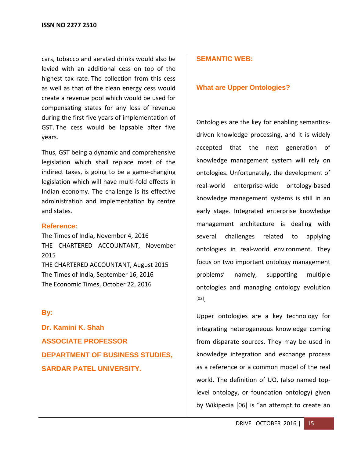cars, tobacco and aerated drinks would also be levied with an additional cess on top of the highest tax rate. The collection from this cess as well as that of the clean energy cess would create a revenue pool which would be used for compensating states for any loss of revenue during the first five years of implementation of GST. The cess would be lapsable after five years.

Thus, GST being a dynamic and comprehensive legislation which shall replace most of the indirect taxes, is going to be a game-changing legislation which will have multi-fold effects in Indian economy. The challenge is its effective administration and implementation by centre and states.

#### **Reference:**

The Times of India, November 4, 2016 THE CHARTERED ACCOUNTANT, November 2015 THE CHARTERED ACCOUNTANT, August 2015 The Times of India, September 16, 2016 The Economic Times, October 22, 2016

## **By:**

**Dr. Kamini K. Shah ASSOCIATE PROFESSOR DEPARTMENT OF BUSINESS STUDIES, SARDAR PATEL UNIVERSITY.**

## **SEMANTIC WEB:**

#### **What are Upper Ontologies?**

Ontologies are the key for enabling semanticsdriven knowledge processing, and it is widely accepted that the next generation of knowledge management system will rely on ontologies. Unfortunately, the development of real-world enterprise-wide ontology-based knowledge management systems is still in an early stage. Integrated enterprise knowledge management architecture is dealing with several challenges related to applying ontologies in real-world environment. They focus on two important ontology management problems' namely, supporting multiple ontologies and managing ontology evolution [02] .

Upper ontologies are a key technology for integrating heterogeneous knowledge coming from disparate sources. They may be used in knowledge integration and exchange process as a reference or a common model of the real world. The definition of UO, (also named toplevel ontology, or foundation ontology) given by Wikipedia [06] is "an attempt to create an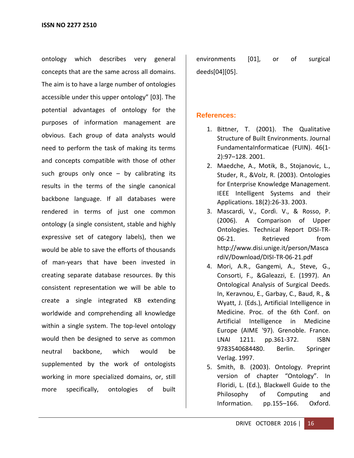ontology which describes very general concepts that are the same across all domains. The aim is to have a large number of ontologies accessible under this upper ontology" [03]. The potential advantages of ontology for the purposes of information management are obvious. Each group of data analysts would need to perform the task of making its terms and concepts compatible with those of other such groups only once  $-$  by calibrating its results in the terms of the single canonical backbone language. If all databases were rendered in terms of just one common ontology (a single consistent, stable and highly expressive set of category labels), then we would be able to save the efforts of thousands of man-years that have been invested in creating separate database resources. By this consistent representation we will be able to create a single integrated KB extending worldwide and comprehending all knowledge within a single system. The top-level ontology would then be designed to serve as common neutral backbone, which would be supplemented by the work of ontologists working in more specialized domains, or, still more specifically, ontologies of built

environments [01], or of surgical deeds[04][05].

## **References:**

- 1. Bittner, T. (2001). The Qualitative Structure of Built Environments. Journal FundamentaInformaticae (FUIN). 46(1- 2):97–128. 2001.
- 2. Maedche, A., Motik, B., Stojanovic, L., Studer, R., &Volz, R. (2003). Ontologies for Enterprise Knowledge Management. IEEE Intelligent Systems and their Applications. 18(2):26-33. 2003.
- 3. Mascardi, V., Cordì. V., & Rosso, P. (2006). A Comparison of Upper Ontologies. Technical Report DISI-TR-06-21. Retrieved from http://www.disi.unige.it/person/Masca rdiV/Download/DISI-TR-06-21.pdf
- 4. Mori, A.R., Gangemi, A., Steve, G., Consorti, F., &Galeazzi, E. (1997). An Ontological Analysis of Surgical Deeds. In, Keravnou, E., Garbay, C., Baud, R., & Wyatt, J. (Eds.), Artificial Intelligence in Medicine. Proc. of the 6th Conf. on Artificial Intelligence in Medicine Europe (AIME '97). Grenoble. France. LNAI 1211. pp.361-372. ISBN 9783540684480. Berlin. Springer Verlag. 1997.
- 5. Smith, B. (2003). Ontology. Preprint version of chapter "Ontology". In Floridi, L. (Ed.), Blackwell Guide to the Philosophy of Computing and Information. pp.155–166. Oxford.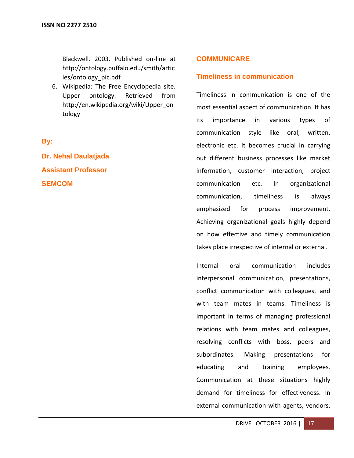Blackwell. 2003. Published on-line at http://ontology.buffalo.edu/smith/artic les/ontology\_pic.pdf

6. Wikipedia: The Free Encyclopedia site. Upper ontology. Retrieved from [http://en.wikipedia.org/wiki/Upper\\_on](http://en.wikipedia.org/wiki/Upper_ontology) [tology](http://en.wikipedia.org/wiki/Upper_ontology)

## **By:**

**Dr. Nehal Daulatjada Assistant Professor SEMCOM**

## **COMMUNICARE**

## **Timeliness in communication**

Timeliness in communication is one of the most essential aspect of communication. It has its importance in various types of communication style like oral, written, electronic etc. It becomes crucial in carrying out different business processes like market information, customer interaction, project communication etc. In organizational communication, timeliness is always emphasized for process improvement. Achieving organizational goals highly depend on how effective and timely communication takes place irrespective of internal or external.

Internal oral communication includes interpersonal communication, presentations, conflict communication with colleagues, and with team mates in teams. Timeliness is important in terms of managing professional relations with team mates and colleagues, resolving conflicts with boss, peers and subordinates. Making presentations for educating and training employees. Communication at these situations highly demand for timeliness for effectiveness. In external communication with agents, vendors,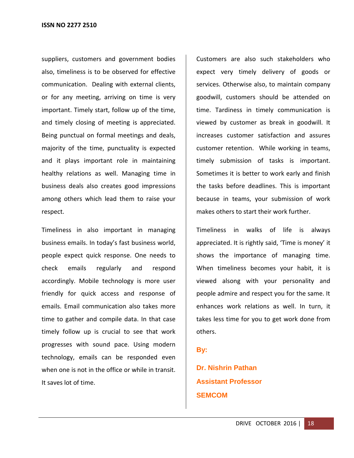suppliers, customers and government bodies also, timeliness is to be observed for effective communication. Dealing with external clients, or for any meeting, arriving on time is very important. Timely start, follow up of the time, and timely closing of meeting is appreciated. Being punctual on formal meetings and deals, majority of the time, punctuality is expected and it plays important role in maintaining healthy relations as well. Managing time in business deals also creates good impressions among others which lead them to raise your respect.

Timeliness in also important in managing business emails. In today's fast business world, people expect quick response. One needs to check emails regularly and respond accordingly. Mobile technology is more user friendly for quick access and response of emails. Email communication also takes more time to gather and compile data. In that case timely follow up is crucial to see that work progresses with sound pace. Using modern technology, emails can be responded even when one is not in the office or while in transit. It saves lot of time.

Customers are also such stakeholders who expect very timely delivery of goods or services. Otherwise also, to maintain company goodwill, customers should be attended on time. Tardiness in timely communication is viewed by customer as break in goodwill. It increases customer satisfaction and assures customer retention. While working in teams, timely submission of tasks is important. Sometimes it is better to work early and finish the tasks before deadlines. This is important because in teams, your submission of work makes others to start their work further.

Timeliness in walks of life is always appreciated. It is rightly said, 'Time is money' it shows the importance of managing time. When timeliness becomes your habit, it is viewed alsong with your personality and people admire and respect you for the same. It enhances work relations as well. In turn, it takes less time for you to get work done from others.

## **By:**

**Dr. Nishrin Pathan Assistant Professor SEMCOM**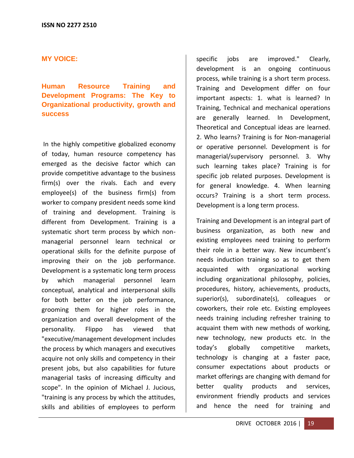#### **MY VOICE:**

**Human Resource Training and Development Programs: The Key to Organizational productivity, growth and success**

In the highly competitive globalized economy of today, human resource competency has emerged as the decisive factor which can provide competitive advantage to the business firm(s) over the rivals. Each and every employee(s) of the business firm(s) from worker to company president needs some kind of training and development. Training is different from Development. Training is a systematic short term process by which nonmanagerial personnel learn technical or operational skills for the definite purpose of improving their on the job performance. Development is a systematic long term process by which managerial personnel learn conceptual, analytical and interpersonal skills for both better on the job performance, grooming them for higher roles in the organization and overall development of the personality. Flippo has viewed that "executive/management development includes the process by which managers and executives acquire not only skills and competency in their present jobs, but also capabilities for future managerial tasks of increasing difficulty and scope". In the opinion of Michael J. Jucious, "training is any process by which the attitudes, skills and abilities of employees to perform

specific jobs are improved." Clearly, development is an ongoing continuous process, while training is a short term process. Training and Development differ on four important aspects: 1. what is learned? In Training, Technical and mechanical operations are generally learned. In Development, Theoretical and Conceptual ideas are learned. 2. Who learns? Training is for Non-managerial or operative personnel. Development is for managerial/supervisory personnel. 3. Why such learning takes place? Training is for specific job related purposes. Development is for general knowledge. 4. When learning occurs? Training is a short term process. Development is a long term process.

Training and Development is an integral part of business organization, as both new and existing employees need training to perform their role in a better way. New incumbent's needs induction training so as to get them acquainted with organizational working including organizational philosophy, policies, procedures, history, achievements, products, superior(s), subordinate(s), colleagues or coworkers, their role etc. Existing employees needs training including refresher training to acquaint them with new methods of working, new technology, new products etc. In the today's globally competitive markets, technology is changing at a faster pace, consumer expectations about products or market offerings are changing with demand for better quality products and services, environment friendly products and services and hence the need for training and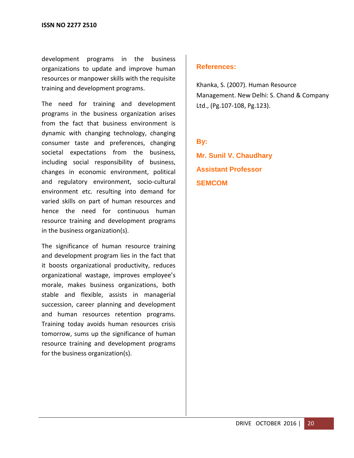development programs in the business organizations to update and improve human resources or manpower skills with the requisite training and development programs.

The need for training and development programs in the business organization arises from the fact that business environment is dynamic with changing technology, changing consumer taste and preferences, changing societal expectations from the business, including social responsibility of business, changes in economic environment, political and regulatory environment, socio-cultural environment etc. resulting into demand for varied skills on part of human resources and hence the need for continuous human resource training and development programs in the business organization(s).

The significance of human resource training and development program lies in the fact that it boosts organizational productivity, reduces organizational wastage, improves employee's morale, makes business organizations, both stable and flexible, assists in managerial succession, career planning and development and human resources retention programs. Training today avoids human resources crisis tomorrow, sums up the significance of human resource training and development programs for the business organization(s).

## **References:**

Khanka, S. (2007). Human Resource Management. New Delhi: S. Chand & Company Ltd., (Pg.107-108, Pg.123).

## **By:**

**Mr. Sunil V. Chaudhary Assistant Professor SEMCOM**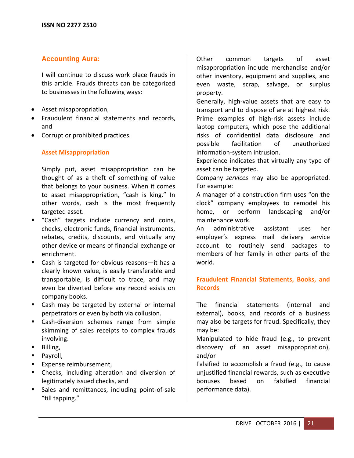## **Accounting Aura:**

I will continue to discuss work place frauds in this article. Frauds threats can be categorized to businesses in the following ways:

- Asset misappropriation,
- Fraudulent financial statements and records, and
- Corrupt or prohibited practices.

#### **Asset Misappropriation**

Simply put, asset misappropriation can be thought of as a theft of something of value that belongs to your business. When it comes to asset misappropriation, "cash is king." In other words, cash is the most frequently targeted asset.

- "Cash" targets include currency and coins, checks, electronic funds, financial instruments, rebates, credits, discounts, and virtually any other device or means of financial exchange or enrichment.
- Cash is targeted for obvious reasons—it has a clearly known value, is easily transferable and transportable, is difficult to trace, and may even be diverted before any record exists on company books.
- **EXTERG** Cash may be targeted by external or internal perpetrators or even by both via collusion.
- Cash-diversion schemes range from simple skimming of sales receipts to complex frauds involving:
- **Billing**,
- Payroll,
- **Expense reimbursement,**
- **EXECUTE:** Checks, including alteration and diversion of legitimately issued checks, and
- Sales and remittances, including point-of-sale "till tapping."

Other common targets of asset misappropriation include merchandise and/or other inventory, equipment and supplies, and even waste, scrap, salvage, or surplus property.

Generally, high-value assets that are easy to transport and to dispose of are at highest risk. Prime examples of high-risk assets include laptop computers, which pose the additional risks of confidential data disclosure and possible facilitation of unauthorized information-system intrusion.

Experience indicates that virtually any type of asset can be targeted.

Company *services* may also be appropriated. For example:

A manager of a construction firm uses "on the clock" company employees to remodel his home, or perform landscaping and/or maintenance work.

An administrative assistant uses her employer's express mail delivery service account to routinely send packages to members of her family in other parts of the world.

## **Fraudulent Financial Statements, Books, and Records**

The financial statements (internal and external), books, and records of a business may also be targets for fraud. Specifically, they may be:

Manipulated to hide fraud (e.g., to prevent discovery of an asset misappropriation), and/or

Falsified to accomplish a fraud (e.g., to cause unjustified financial rewards, such as executive bonuses based on falsified financial performance data).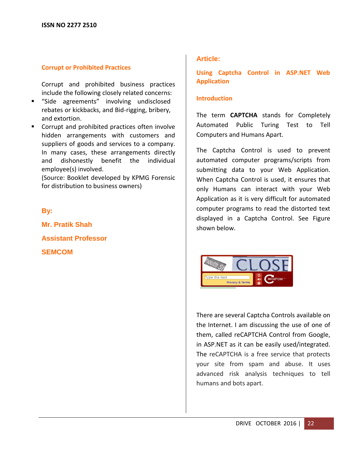#### **Corrupt or Prohibited Practices**

Corrupt and prohibited business practices include the following closely related concerns:

- "Side agreements" involving undisclosed rebates or kickbacks, and Bid-rigging, bribery, and extortion.
- **Corrupt and prohibited practices often involve** hidden arrangements with customers and suppliers of goods and services to a company. In many cases, these arrangements directly and dishonestly benefit the individual employee(s) involved.

(Source: Booklet developed by KPMG Forensic for distribution to business owners)

## **By:**

**Mr. Pratik Shah Assistant Professor SEMCOM**

## **Article:**

**Using Captcha Control in ASP.NET Web Application**

## **Introduction**

The term **CAPTCHA** stands for Completely Automated Public Turing Test to Tell Computers and Humans Apart.

The Captcha Control is used to prevent automated computer programs/scripts from submitting data to your Web Application. When Captcha Control is used, it ensures that only Humans can interact with your Web Application as it is very difficult for automated computer programs to read the distorted text displayed in a Captcha Control. See Figure shown below.



There are several Captcha Controls available on the Internet. I am discussing the use of one of them, called reCAPTCHA Control from Google, in ASP.NET as it can be easily used/integrated. The reCAPTCHA is a free service that protects your site from spam and abuse. It uses advanced risk analysis techniques to tell humans and bots apart.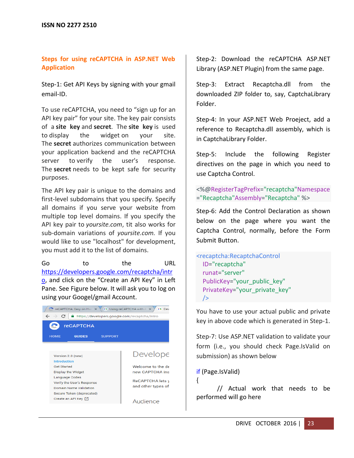#### **Steps for using reCAPTCHA in ASP.NET Web Application**

Step-1: Get API Keys by signing with your gmail email-ID.

To use reCAPTCHA, you need to "sign up for an API key pair" for your site. The key pair consists of a **site key** and **secret**. The **site key** is used to display the widget on your site. The **secret** authorizes communication between your application backend and the reCAPTCHA server to verify the user's response. The **secret** needs to be kept safe for security purposes.

The API key pair is unique to the domains and first-level subdomains that you specify. Specify all domains if you serve your website from multiple top level domains. If you specify the API key pair to *yoursite.com*, tit also works for sub-domain variations of *yoursite.com.* If you would like to use "localhost" for development, you must add it to the list of domains.

Go to the URL [https://developers.google.com/recaptcha/intr](https://developers.google.com/recaptcha/intro) [o](https://developers.google.com/recaptcha/intro), and click on the "Create an API Key" in Left Pane. See Figure below. It will ask you to log on using your Googel/gmail Account.



Step-2: Download the reCAPTCHA ASP.NET Library (ASP.NET Plugin) from the same page.

Step-3: Extract Recaptcha.dll from the downloaded ZIP folder to, say, CaptchaLibrary Folder.

Step-4: In your ASP.NET Web Proeject, add a reference to Recaptcha.dll assembly, which is in CaptchaLibrary Folder.

Step-5: Include the following Register directives on the page in which you need to use Captcha Control.

<%@RegisterTagPrefix="recaptcha"Namespace ="Recaptcha"Assembly="Recaptcha" %>

Step-6: Add the Control Declaration as shown below on the page where you want the Captcha Control, normally, before the Form Submit Button.

```
<recaptcha:RecaptchaControl
  ID="recaptcha"
  runat="server"
  PublicKey="your_public_key"
  PrivateKey="your_private_key"
 /
```
You have to use your actual public and private key in above code which is generated in Step-1.

Step-7: Use ASP.NET validation to validate your form (i.e., you should check Page.IsValid on submission) as shown below

if (Page.IsValid)

{

// Actual work that needs to be performed will go here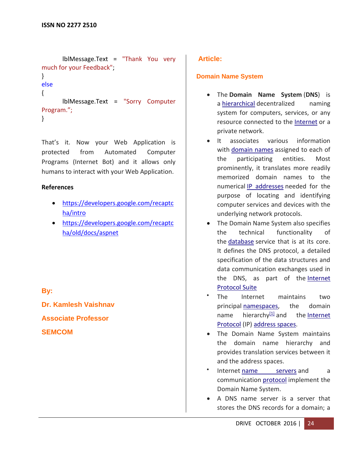```
lblMessage.Text = "Thank You very 
much for your Feedback";
}
else
{
      lblMessage.Text = "Sorry Computer 
Program.";
}
```
That's it. Now your Web Application is protected from Automated Computer Programs (Internet Bot) and it allows only humans to interact with your Web Application.

#### **References**

- [https://developers.google.com/recaptc](https://developers.google.com/recaptcha/intro) [ha/intro](https://developers.google.com/recaptcha/intro)
- [https://developers.google.com/recaptc](https://developers.google.com/recaptcha/old/docs/aspnet) [ha/old/docs/aspnet](https://developers.google.com/recaptcha/old/docs/aspnet)

## **By:**

**Dr. Kamlesh Vaishnav Associate Professor**

**SEMCOM**

## **Article:**

## **Domain Name System**

- The **Domain Name System** (**DNS**) is a [hierarchical](https://en.wikipedia.org/wiki/Hierarchical) decentralized naming system for computers, services, or any resource connected to the [Internet](https://en.wikipedia.org/wiki/Internet) or a private network.
- It associates various information with [domain names](https://en.wikipedia.org/wiki/Domain_name) assigned to each of the participating entities. Most prominently, it translates more readily memorized domain names to the numerical [IP addresses](https://en.wikipedia.org/wiki/IP_address) needed for the purpose of locating and identifying computer services and devices with the underlying network protocols.
- The Domain Name System also specifies the technical functionality of the [database](https://en.wikipedia.org/wiki/Database) service that is at its core. It defines the DNS protocol, a detailed specification of the data structures and data communication exchanges used in the DNS, as part of the Internet [Protocol Suite](https://en.wikipedia.org/wiki/Internet_Protocol_Suite)
- The Internet maintains two principal [namespaces,](https://en.wikipedia.org/wiki/Namespace) the domain name hierarchy<sup>[\[1\]](https://en.wikipedia.org/wiki/Domain_Name_System#cite_note-rfc1034-1)</sup> and the Internet [Protocol](https://en.wikipedia.org/wiki/Internet_Protocol) (IP) [address spaces.](https://en.wikipedia.org/wiki/Address_space)
- The Domain Name System maintains the domain name hierarchy and provides translation services between it and the address spaces.
- $\bullet$ Internet [name servers](https://en.wikipedia.org/wiki/Name_server) and a communication [protocol](https://en.wikipedia.org/wiki/Network_protocol) implement the Domain Name System.
- A DNS name server is a server that stores the DNS records for a domain; a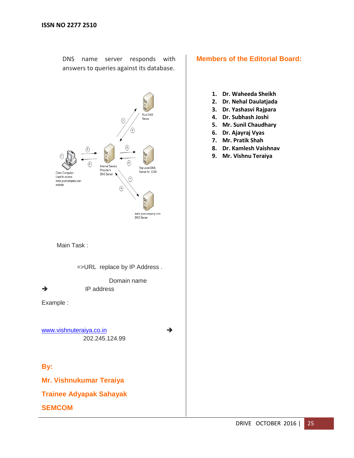DNS name server responds with answers to queries against its database.



Main Task :

=>URL replace by IP Address .

 Domain name  $\rightarrow$  IP address

Example :

[www.vishnuteraiya.co.in](http://www.vishnuteraiya.co.in/) 202.245.124.99

**By:**

**Mr. Vishnukumar Teraiya**

**Trainee Adyapak Sahayak**

**SEMCOM**

## **Members of the Editorial Board:**

- **1. Dr. Waheeda Sheikh**
- **2. Dr. Nehal Daulatjada**
- **3. Dr. Yashasvi Rajpara**
- **4. Dr. Subhash Joshi**
- **5. Mr. Sunil Chaudhary**
- **6. Dr. Ajayraj Vyas**
- **7. Mr. Pratik Shah**
- **8. Dr. Kamlesh Vaishnav**
- **9. Mr. Vishnu Teraiya**